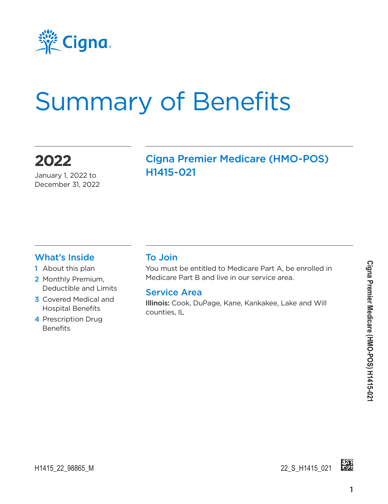

# Summary of Benefits

### **2022**

January 1, 2022 to December 31, 2022

#### Cigna Premier Medicare (HMO-POS) H1415-021

#### What's Inside

- 1 About this plan
- 2 Monthly Premium, Deductible and Limits
- 3 Covered Medical and Hospital Benefits
- 4 Prescription Drug **Benefits**

#### To Join

You must be entitled to Medicare Part A, be enrolled in Medicare Part B and live in our service area.

#### Service Area

Illinois: Cook, DuPage, Kane, Kankakee, Lake and Will counties, IL



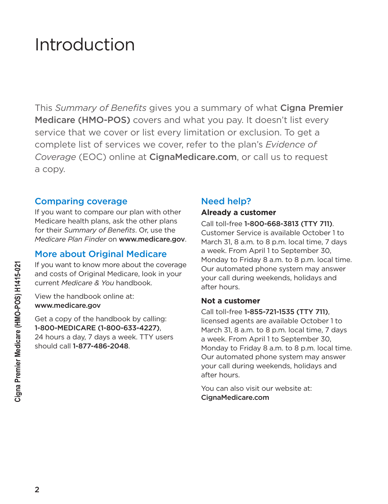## Introduction

This *Summary of Benefits* gives you a summary of what Cigna Premier Medicare (HMO-POS) covers and what you pay. It doesn't list every service that we cover or list every limitation or exclusion. To get a complete list of services we cover, refer to the plan's *Evidence of Coverage* (EOC) online at [CignaMedicare.com](www.cignamedicare.com), or call us to request a copy.

#### Comparing coverage

If you want to compare our plan with other Medicare health plans, ask the other plans for their *Summary of Benefits*. Or, use the *Medicare Plan Finder* on www.medicare.gov.

#### More about Original Medicare

If you want to know more about the coverage and costs of Original Medicare, look in your current *Medicare & You* handbook.

View the handbook online at: www.medicare.gov

Get a copy of the handbook by calling: 1-800-MEDICARE (1-800-633-4227), 24 hours a day, 7 days a week. TTY users should call 1-877-486-2048.

#### Need help?

#### **Already a customer**

Call toll-free 1-800-668-3813 (TTY 711). Customer Service is available October 1 to March 31, 8 a.m. to 8 p.m. local time, 7 days a week. From April 1 to September 30, Monday to Friday 8 a.m. to 8 p.m. local time. Our automated phone system may answer your call during weekends, holidays and after hours.

#### **Not a customer**

Call toll-free 1-855-721-1535 (TTY 711), licensed agents are available October 1 to March 31, 8 a.m. to 8 p.m. local time, 7 days a week. From April 1 to September 30, Monday to Friday 8 a.m. to 8 p.m. local time. Our automated phone system may answer your call during weekends, holidays and after hours.

You can also visit our website at: [CignaMedicare.com](www.cignamedicare.com)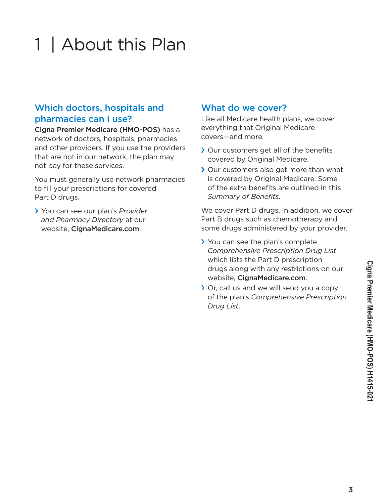#### 3

# 1 | About this Plan

#### Which doctors, hospitals and pharmacies can I use?

Cigna Premier Medicare (HMO-POS) has a network of doctors, hospitals, pharmacies and other providers. If you use the providers that are not in our network, the plan may not pay for these services.

You must generally use network pharmacies to fill your prescriptions for covered Part D drugs.

› You can see our plan's *Provider and Pharmacy Directory* at our website, [CignaMedicare.com](www.cignamedicare.com).

#### What do we cover?

Like all Medicare health plans, we cover everything that Original Medicare covers—and more.

- › Our customers get all of the benefits covered by Original Medicare.
- › Our customers also get more than what is covered by Original Medicare. Some of the extra benefits are outlined in this *Summary of Benefits*.

We cover Part D drugs. In addition, we cover Part B drugs such as chemotherapy and some drugs administered by your provider.

- › You can see the plan's complete *Comprehensive Prescription Drug List* which lists the Part D prescription drugs along with any restrictions on our website, [CignaMedicare.com](www.cignamedicare.com).
- › Or, call us and we will send you a copy of the plan's *Comprehensive Prescription Drug List*.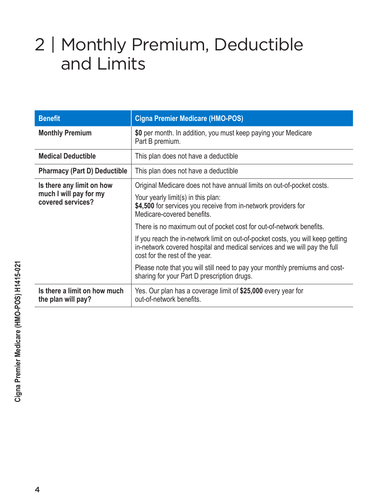## 2 | Monthly Premium, Deductible and Limits

| <b>Benefit</b>                                                           | <b>Cigna Premier Medicare (HMO-POS)</b>                                                                                                                                                                                                                                                                                                                                                                                                                                                                                                                                                                            |
|--------------------------------------------------------------------------|--------------------------------------------------------------------------------------------------------------------------------------------------------------------------------------------------------------------------------------------------------------------------------------------------------------------------------------------------------------------------------------------------------------------------------------------------------------------------------------------------------------------------------------------------------------------------------------------------------------------|
| <b>Monthly Premium</b>                                                   | \$0 per month. In addition, you must keep paying your Medicare<br>Part B premium.                                                                                                                                                                                                                                                                                                                                                                                                                                                                                                                                  |
| <b>Medical Deductible</b>                                                | This plan does not have a deductible                                                                                                                                                                                                                                                                                                                                                                                                                                                                                                                                                                               |
| <b>Pharmacy (Part D) Deductible</b>                                      | This plan does not have a deductible                                                                                                                                                                                                                                                                                                                                                                                                                                                                                                                                                                               |
| Is there any limit on how<br>much I will pay for my<br>covered services? | Original Medicare does not have annual limits on out-of-pocket costs.<br>Your yearly limit(s) in this plan:<br>\$4,500 for services you receive from in-network providers for<br>Medicare-covered benefits.<br>There is no maximum out of pocket cost for out-of-network benefits.<br>If you reach the in-network limit on out-of-pocket costs, you will keep getting<br>in-network covered hospital and medical services and we will pay the full<br>cost for the rest of the year.<br>Please note that you will still need to pay your monthly premiums and cost-<br>sharing for your Part D prescription drugs. |
| Is there a limit on how much<br>the plan will pay?                       | Yes. Our plan has a coverage limit of \$25,000 every year for<br>out-of-network benefits.                                                                                                                                                                                                                                                                                                                                                                                                                                                                                                                          |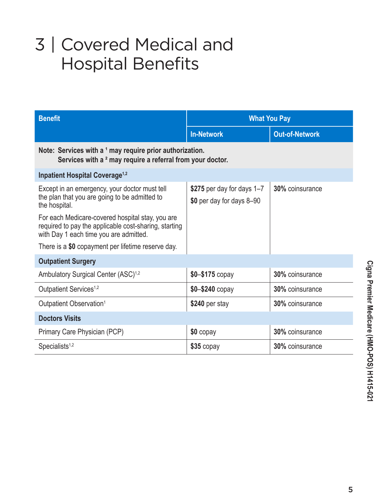# 3 | Covered Medical and Hospital Benefits

| <b>Benefit</b>                                                                                                                                      | <b>What You Pay</b>                                     |                        |  |
|-----------------------------------------------------------------------------------------------------------------------------------------------------|---------------------------------------------------------|------------------------|--|
|                                                                                                                                                     | <b>In-Network</b>                                       | <b>Out-of-Network</b>  |  |
| Note: Services with a 1 may require prior authorization.<br>Services with a <sup>2</sup> may require a referral from your doctor.                   |                                                         |                        |  |
| <b>Inpatient Hospital Coverage<sup>1,2</sup></b>                                                                                                    |                                                         |                        |  |
| Except in an emergency, your doctor must tell<br>the plan that you are going to be admitted to<br>the hospital.                                     | \$275 per day for days 1-7<br>\$0 per day for days 8-90 | 30% coinsurance        |  |
| For each Medicare-covered hospital stay, you are<br>required to pay the applicable cost-sharing, starting<br>with Day 1 each time you are admitted. |                                                         |                        |  |
| There is a \$0 copayment per lifetime reserve day.                                                                                                  |                                                         |                        |  |
| <b>Outpatient Surgery</b>                                                                                                                           |                                                         |                        |  |
| Ambulatory Surgical Center (ASC) <sup>1,2</sup>                                                                                                     | $$0 - $175$ copay                                       | 30% coinsurance        |  |
| Outpatient Services <sup>1,2</sup>                                                                                                                  | $$0 - $240$ copay                                       | <b>30%</b> coinsurance |  |
| Outpatient Observation <sup>1</sup>                                                                                                                 | \$240 per stay                                          | 30% coinsurance        |  |
| <b>Doctors Visits</b>                                                                                                                               |                                                         |                        |  |
| Primary Care Physician (PCP)                                                                                                                        | $$0$ copay                                              | 30% coinsurance        |  |
| Specialists $1,2$                                                                                                                                   | \$35 copay                                              | <b>30%</b> coinsurance |  |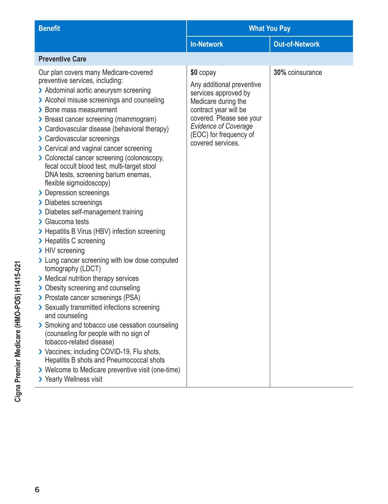| <b>Benefit</b>                                                                                                                                                                                                                                                                                                                                                                                                                                                                                                                                                                                                                                                                                                                                                                                                                                                                                                                                                                                                                                                                                                                                                                                                                                                                                             | <b>What You Pay</b>                                                                                                                                                                                                      |                       |  |
|------------------------------------------------------------------------------------------------------------------------------------------------------------------------------------------------------------------------------------------------------------------------------------------------------------------------------------------------------------------------------------------------------------------------------------------------------------------------------------------------------------------------------------------------------------------------------------------------------------------------------------------------------------------------------------------------------------------------------------------------------------------------------------------------------------------------------------------------------------------------------------------------------------------------------------------------------------------------------------------------------------------------------------------------------------------------------------------------------------------------------------------------------------------------------------------------------------------------------------------------------------------------------------------------------------|--------------------------------------------------------------------------------------------------------------------------------------------------------------------------------------------------------------------------|-----------------------|--|
|                                                                                                                                                                                                                                                                                                                                                                                                                                                                                                                                                                                                                                                                                                                                                                                                                                                                                                                                                                                                                                                                                                                                                                                                                                                                                                            | <b>In-Network</b>                                                                                                                                                                                                        | <b>Out-of-Network</b> |  |
| <b>Preventive Care</b>                                                                                                                                                                                                                                                                                                                                                                                                                                                                                                                                                                                                                                                                                                                                                                                                                                                                                                                                                                                                                                                                                                                                                                                                                                                                                     |                                                                                                                                                                                                                          |                       |  |
| Our plan covers many Medicare-covered<br>preventive services, including:<br>> Abdominal aortic aneurysm screening<br>> Alcohol misuse screenings and counseling<br>> Bone mass measurement<br>> Breast cancer screening (mammogram)<br>> Cardiovascular disease (behavioral therapy)<br>> Cardiovascular screenings<br>> Cervical and vaginal cancer screening<br>> Colorectal cancer screening (colonoscopy,<br>fecal occult blood test, multi-target stool<br>DNA tests, screening barium enemas,<br>flexible sigmoidoscopy)<br>> Depression screenings<br>> Diabetes screenings<br>> Diabetes self-management training<br>> Glaucoma tests<br>> Hepatitis B Virus (HBV) infection screening<br>> Hepatitis C screening<br>> HIV screening<br>> Lung cancer screening with low dose computed<br>tomography (LDCT)<br>> Medical nutrition therapy services<br>> Obesity screening and counseling<br>> Prostate cancer screenings (PSA)<br>> Sexually transmitted infections screening<br>and counseling<br>> Smoking and tobacco use cessation counseling<br>(counseling for people with no sign of<br>tobacco-related disease)<br>> Vaccines; including COVID-19, Flu shots,<br>Hepatitis B shots and Pneumococcal shots<br>> Welcome to Medicare preventive visit (one-time)<br>> Yearly Wellness visit | \$0 copay<br>Any additional preventive<br>services approved by<br>Medicare during the<br>contract year will be<br>covered. Please see your<br><b>Evidence of Coverage</b><br>(EOC) for frequency of<br>covered services. | 30% coinsurance       |  |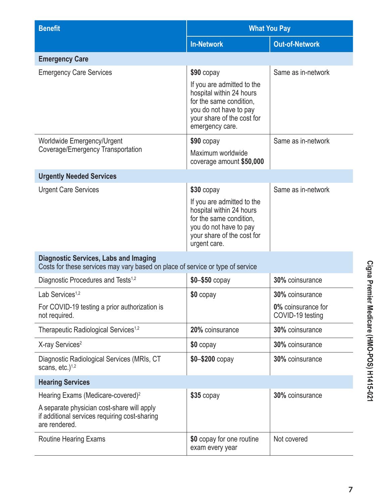| <b>Benefit</b>                                                                                                                 |                                                                                                                                                              | <b>What You Pay</b>                    |  |
|--------------------------------------------------------------------------------------------------------------------------------|--------------------------------------------------------------------------------------------------------------------------------------------------------------|----------------------------------------|--|
|                                                                                                                                | <b>In-Network</b>                                                                                                                                            | <b>Out-of-Network</b>                  |  |
| <b>Emergency Care</b>                                                                                                          |                                                                                                                                                              |                                        |  |
| <b>Emergency Care Services</b>                                                                                                 | $$90$ copay                                                                                                                                                  | Same as in-network                     |  |
|                                                                                                                                | If you are admitted to the<br>hospital within 24 hours<br>for the same condition,<br>you do not have to pay<br>your share of the cost for<br>emergency care. |                                        |  |
| Worldwide Emergency/Urgent                                                                                                     | $$90$ copay                                                                                                                                                  | Same as in-network                     |  |
| Coverage/Emergency Transportation                                                                                              | Maximum worldwide<br>coverage amount \$50,000                                                                                                                |                                        |  |
| <b>Urgently Needed Services</b>                                                                                                |                                                                                                                                                              |                                        |  |
| <b>Urgent Care Services</b>                                                                                                    | $$30$ copay                                                                                                                                                  | Same as in-network                     |  |
|                                                                                                                                | If you are admitted to the<br>hospital within 24 hours<br>for the same condition,<br>you do not have to pay<br>your share of the cost for<br>urgent care.    |                                        |  |
| <b>Diagnostic Services, Labs and Imaging</b><br>Costs for these services may vary based on place of service or type of service |                                                                                                                                                              |                                        |  |
| Diagnostic Procedures and Tests <sup>1,2</sup>                                                                                 | $$0 - $50$ copay                                                                                                                                             | 30% coinsurance                        |  |
| Lab Services <sup>1,2</sup>                                                                                                    | $$0$ copay                                                                                                                                                   | 30% coinsurance                        |  |
| For COVID-19 testing a prior authorization is<br>not required.                                                                 |                                                                                                                                                              | 0% coinsurance for<br>COVID-19 testing |  |
| Therapeutic Radiological Services <sup>1,2</sup>                                                                               | 20% coinsurance                                                                                                                                              | 30% coinsurance                        |  |
| X-ray Services <sup>2</sup>                                                                                                    | \$0 copay                                                                                                                                                    | 30% coinsurance                        |  |
| Diagnostic Radiological Services (MRIs, CT<br>scans, $etc.$ ) <sup>1,2</sup>                                                   | \$0-\$200 copay                                                                                                                                              | 30% coinsurance                        |  |
| <b>Hearing Services</b>                                                                                                        |                                                                                                                                                              |                                        |  |
| Hearing Exams (Medicare-covered) <sup>2</sup>                                                                                  | $$35$ copay                                                                                                                                                  | 30% coinsurance                        |  |
| A separate physician cost-share will apply<br>if additional services requiring cost-sharing<br>are rendered.                   |                                                                                                                                                              |                                        |  |
| Routine Hearing Exams                                                                                                          | \$0 copay for one routine<br>exam every year                                                                                                                 | Not covered                            |  |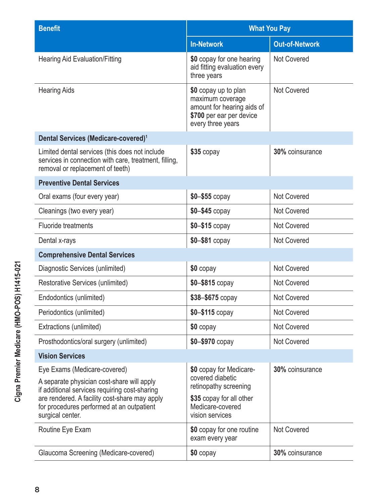| <b>Benefit</b>                                                                                                                                                                                                                                | <b>What You Pay</b>                                                                                                                     |                       |  |
|-----------------------------------------------------------------------------------------------------------------------------------------------------------------------------------------------------------------------------------------------|-----------------------------------------------------------------------------------------------------------------------------------------|-----------------------|--|
|                                                                                                                                                                                                                                               | <b>In-Network</b>                                                                                                                       | <b>Out-of-Network</b> |  |
| <b>Hearing Aid Evaluation/Fitting</b>                                                                                                                                                                                                         | \$0 copay for one hearing<br>aid fitting evaluation every<br>three years                                                                | Not Covered           |  |
| <b>Hearing Aids</b>                                                                                                                                                                                                                           | \$0 copay up to plan<br>maximum coverage<br>amount for hearing aids of<br>\$700 per ear per device<br>every three years                 | Not Covered           |  |
| Dental Services (Medicare-covered) <sup>1</sup>                                                                                                                                                                                               |                                                                                                                                         |                       |  |
| Limited dental services (this does not include<br>services in connection with care, treatment, filling,<br>removal or replacement of teeth)                                                                                                   | $$35$ copay                                                                                                                             | 30% coinsurance       |  |
| <b>Preventive Dental Services</b>                                                                                                                                                                                                             |                                                                                                                                         |                       |  |
| Oral exams (four every year)                                                                                                                                                                                                                  | $$0 - $55$ copay                                                                                                                        | Not Covered           |  |
| Cleanings (two every year)                                                                                                                                                                                                                    | $$0 - $45$ copay                                                                                                                        | <b>Not Covered</b>    |  |
| <b>Fluoride treatments</b>                                                                                                                                                                                                                    | $$0 - $15$ copay                                                                                                                        | <b>Not Covered</b>    |  |
| Dental x-rays                                                                                                                                                                                                                                 | $$0 - $81$ copay                                                                                                                        | <b>Not Covered</b>    |  |
| <b>Comprehensive Dental Services</b>                                                                                                                                                                                                          |                                                                                                                                         |                       |  |
| Diagnostic Services (unlimited)                                                                                                                                                                                                               | \$0 copay                                                                                                                               | <b>Not Covered</b>    |  |
| Restorative Services (unlimited)                                                                                                                                                                                                              | $$0 - $815$ copay                                                                                                                       | <b>Not Covered</b>    |  |
| Endodontics (unlimited)                                                                                                                                                                                                                       | \$38-\$675 copay                                                                                                                        | <b>Not Covered</b>    |  |
| Periodontics (unlimited)                                                                                                                                                                                                                      | \$0-\$115 copay                                                                                                                         | <b>Not Covered</b>    |  |
| Extractions (unlimited)                                                                                                                                                                                                                       | \$0 copay                                                                                                                               | <b>Not Covered</b>    |  |
| Prosthodontics/oral surgery (unlimited)                                                                                                                                                                                                       | $$0 - $970$ copay                                                                                                                       | Not Covered           |  |
| <b>Vision Services</b>                                                                                                                                                                                                                        |                                                                                                                                         |                       |  |
| Eye Exams (Medicare-covered)<br>A separate physician cost-share will apply<br>if additional services requiring cost-sharing<br>are rendered. A facility cost-share may apply<br>for procedures performed at an outpatient<br>surgical center. | \$0 copay for Medicare-<br>covered diabetic<br>retinopathy screening<br>\$35 copay for all other<br>Medicare-covered<br>vision services | 30% coinsurance       |  |
| Routine Eye Exam                                                                                                                                                                                                                              | \$0 copay for one routine<br>exam every year                                                                                            | <b>Not Covered</b>    |  |
| Glaucoma Screening (Medicare-covered)                                                                                                                                                                                                         | \$0 copay                                                                                                                               | 30% coinsurance       |  |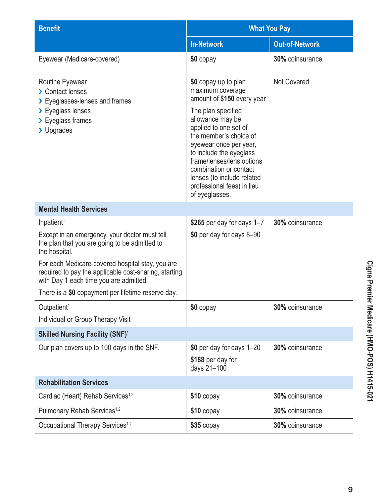| <b>Benefit</b>                                                                                                                                      | <b>What You Pay</b>                                                                                                                                                                                                                                                                                                                                           |                       |  |
|-----------------------------------------------------------------------------------------------------------------------------------------------------|---------------------------------------------------------------------------------------------------------------------------------------------------------------------------------------------------------------------------------------------------------------------------------------------------------------------------------------------------------------|-----------------------|--|
|                                                                                                                                                     | <b>In-Network</b>                                                                                                                                                                                                                                                                                                                                             | <b>Out-of-Network</b> |  |
| Eyewear (Medicare-covered)                                                                                                                          | \$0 copay                                                                                                                                                                                                                                                                                                                                                     | 30% coinsurance       |  |
| Routine Eyewear<br>> Contact lenses<br>> Eyeglasses-lenses and frames<br>> Eyeglass lenses<br>> Eyeglass frames<br>> Upgrades                       | \$0 copay up to plan<br>maximum coverage<br>amount of \$150 every year<br>The plan specified<br>allowance may be<br>applied to one set of<br>the member's choice of<br>eyewear once per year,<br>to include the eyeglass<br>frame/lenses/lens options<br>combination or contact<br>lenses (to include related<br>professional fees) in lieu<br>of eyeglasses. | <b>Not Covered</b>    |  |
| <b>Mental Health Services</b>                                                                                                                       |                                                                                                                                                                                                                                                                                                                                                               |                       |  |
| Inpatient <sup>1</sup>                                                                                                                              | \$265 per day for days $1-7$                                                                                                                                                                                                                                                                                                                                  | 30% coinsurance       |  |
| Except in an emergency, your doctor must tell<br>the plan that you are going to be admitted to<br>the hospital.                                     | \$0 per day for days 8-90                                                                                                                                                                                                                                                                                                                                     |                       |  |
| For each Medicare-covered hospital stay, you are<br>required to pay the applicable cost-sharing, starting<br>with Day 1 each time you are admitted. |                                                                                                                                                                                                                                                                                                                                                               |                       |  |
| There is a \$0 copayment per lifetime reserve day.                                                                                                  |                                                                                                                                                                                                                                                                                                                                                               |                       |  |
| Outpatient <sup>1</sup>                                                                                                                             | \$0 copay                                                                                                                                                                                                                                                                                                                                                     | 30% coinsurance       |  |
| Individual or Group Therapy Visit                                                                                                                   |                                                                                                                                                                                                                                                                                                                                                               |                       |  |
| <b>Skilled Nursing Facility (SNF)1</b>                                                                                                              |                                                                                                                                                                                                                                                                                                                                                               |                       |  |
| Our plan covers up to 100 days in the SNF.                                                                                                          | \$0 per day for days 1-20<br>\$188 per day for<br>days 21-100                                                                                                                                                                                                                                                                                                 | 30% coinsurance       |  |
| <b>Rehabilitation Services</b>                                                                                                                      |                                                                                                                                                                                                                                                                                                                                                               |                       |  |
| Cardiac (Heart) Rehab Services <sup>1,2</sup>                                                                                                       | $$10$ copay                                                                                                                                                                                                                                                                                                                                                   | 30% coinsurance       |  |
| Pulmonary Rehab Services <sup>1,2</sup>                                                                                                             | $$10$ copay                                                                                                                                                                                                                                                                                                                                                   | 30% coinsurance       |  |
| Occupational Therapy Services <sup>1,2</sup>                                                                                                        | $$35$ copay                                                                                                                                                                                                                                                                                                                                                   | 30% coinsurance       |  |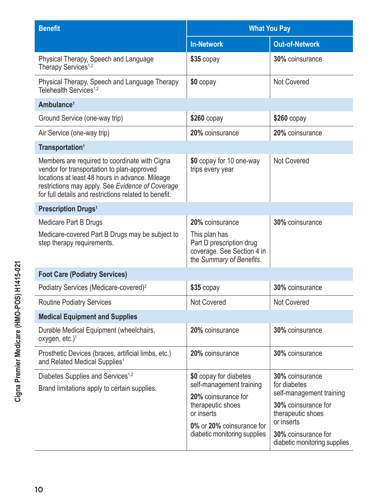| <b>Benefit</b>                                                                                                                                                                                                                                              | <b>What You Pay</b>                                                                                 |                                                             |  |
|-------------------------------------------------------------------------------------------------------------------------------------------------------------------------------------------------------------------------------------------------------------|-----------------------------------------------------------------------------------------------------|-------------------------------------------------------------|--|
|                                                                                                                                                                                                                                                             | <b>In-Network</b>                                                                                   | <b>Out-of-Network</b>                                       |  |
| Physical Therapy, Speech and Language<br>Therapy Services <sup>1,2</sup>                                                                                                                                                                                    | \$35 copay                                                                                          | 30% coinsurance                                             |  |
| Physical Therapy, Speech and Language Therapy<br>Telehealth Services <sup>1,2</sup>                                                                                                                                                                         | \$0 copay                                                                                           | <b>Not Covered</b>                                          |  |
| Ambulance <sup>1</sup>                                                                                                                                                                                                                                      |                                                                                                     |                                                             |  |
| Ground Service (one-way trip)                                                                                                                                                                                                                               | $$260$ copay                                                                                        | $$260$ copay                                                |  |
| Air Service (one-way trip)                                                                                                                                                                                                                                  | 20% coinsurance                                                                                     | 20% coinsurance                                             |  |
| Transportation <sup>1</sup>                                                                                                                                                                                                                                 |                                                                                                     |                                                             |  |
| Members are required to coordinate with Cigna<br>vendor for transportation to plan-approved<br>locations at least 48 hours in advance. Mileage<br>restrictions may apply. See Evidence of Coverage<br>for full details and restrictions related to benefit. | \$0 copay for 10 one-way<br>trips every year                                                        | Not Covered                                                 |  |
| <b>Prescription Drugs<sup>1</sup></b>                                                                                                                                                                                                                       |                                                                                                     |                                                             |  |
| Medicare Part B Drugs                                                                                                                                                                                                                                       | 20% coinsurance                                                                                     | 30% coinsurance                                             |  |
| Medicare-covered Part B Drugs may be subject to<br>step therapy requirements.                                                                                                                                                                               | This plan has<br>Part D prescription drug<br>coverage. See Section 4 in<br>the Summary of Benefits. |                                                             |  |
| <b>Foot Care (Podiatry Services)</b>                                                                                                                                                                                                                        |                                                                                                     |                                                             |  |
| Podiatry Services (Medicare-covered) <sup>2</sup>                                                                                                                                                                                                           | \$35 copay                                                                                          | 30% coinsurance                                             |  |
| <b>Routine Podiatry Services</b>                                                                                                                                                                                                                            | Not Covered                                                                                         | <b>Not Covered</b>                                          |  |
| <b>Medical Equipment and Supplies</b>                                                                                                                                                                                                                       |                                                                                                     |                                                             |  |
| Durable Medical Equipment (wheelchairs,<br>oxygen, etc.) $1$                                                                                                                                                                                                | 20% coinsurance                                                                                     | 30% coinsurance                                             |  |
| Prosthetic Devices (braces, artificial limbs, etc.)<br>and Related Medical Supplies <sup>1</sup>                                                                                                                                                            | 20% coinsurance                                                                                     | 30% coinsurance                                             |  |
| Diabetes Supplies and Services <sup>1,2</sup>                                                                                                                                                                                                               | \$0 copay for diabetes<br>self-management training<br>20% coinsurance for                           | 30% coinsurance<br>for diabetes<br>self-management training |  |
| Brand limitations apply to certain supplies.                                                                                                                                                                                                                |                                                                                                     |                                                             |  |
|                                                                                                                                                                                                                                                             | therapeutic shoes<br>or inserts                                                                     | 30% coinsurance for<br>therapeutic shoes<br>or inserts      |  |
|                                                                                                                                                                                                                                                             | 0% or 20% coinsurance for<br>diabetic monitoring supplies                                           | 30% coinsurance for                                         |  |
|                                                                                                                                                                                                                                                             |                                                                                                     | diabetic monitoring supplies                                |  |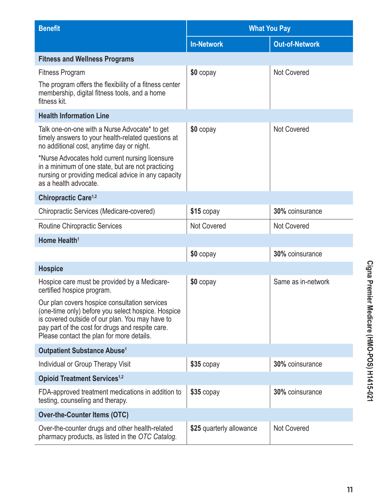| <b>Benefit</b>                                                                                                                                                                                                                                                                                                                           | <b>What You Pay</b>      |                       |  |
|------------------------------------------------------------------------------------------------------------------------------------------------------------------------------------------------------------------------------------------------------------------------------------------------------------------------------------------|--------------------------|-----------------------|--|
|                                                                                                                                                                                                                                                                                                                                          | <b>In-Network</b>        | <b>Out-of-Network</b> |  |
| <b>Fitness and Wellness Programs</b>                                                                                                                                                                                                                                                                                                     |                          |                       |  |
| <b>Fitness Program</b>                                                                                                                                                                                                                                                                                                                   | \$0 copay                | <b>Not Covered</b>    |  |
| The program offers the flexibility of a fitness center<br>membership, digital fitness tools, and a home<br>fitness kit.                                                                                                                                                                                                                  |                          |                       |  |
| <b>Health Information Line</b>                                                                                                                                                                                                                                                                                                           |                          |                       |  |
| Talk one-on-one with a Nurse Advocate* to get<br>timely answers to your health-related questions at<br>no additional cost, anytime day or night.<br>*Nurse Advocates hold current nursing licensure<br>in a minimum of one state, but are not practicing<br>nursing or providing medical advice in any capacity<br>as a health advocate. | \$0 copay                | <b>Not Covered</b>    |  |
| Chiropractic Care <sup>1,2</sup>                                                                                                                                                                                                                                                                                                         |                          |                       |  |
| Chiropractic Services (Medicare-covered)                                                                                                                                                                                                                                                                                                 | $$15$ copay              | 30% coinsurance       |  |
| <b>Routine Chiropractic Services</b>                                                                                                                                                                                                                                                                                                     | <b>Not Covered</b>       | <b>Not Covered</b>    |  |
| Home Health <sup>1</sup>                                                                                                                                                                                                                                                                                                                 |                          |                       |  |
|                                                                                                                                                                                                                                                                                                                                          | \$0 copay                | 30% coinsurance       |  |
| <b>Hospice</b>                                                                                                                                                                                                                                                                                                                           |                          |                       |  |
| Hospice care must be provided by a Medicare-<br>certified hospice program.                                                                                                                                                                                                                                                               | \$0 copay                | Same as in-network    |  |
| Our plan covers hospice consultation services<br>(one-time only) before you select hospice. Hospice<br>is covered outside of our plan. You may have to<br>pay part of the cost for drugs and respite care.<br>Please contact the plan for more details.                                                                                  |                          |                       |  |
| Outpatient Substance Abuse <sup>1</sup>                                                                                                                                                                                                                                                                                                  |                          |                       |  |
| Individual or Group Therapy Visit                                                                                                                                                                                                                                                                                                        | $$35$ copay              | 30% coinsurance       |  |
| <b>Opioid Treatment Services<sup>1,2</sup></b>                                                                                                                                                                                                                                                                                           |                          |                       |  |
| FDA-approved treatment medications in addition to<br>testing, counseling and therapy.                                                                                                                                                                                                                                                    | $$35$ copay              | 30% coinsurance       |  |
| <b>Over-the-Counter Items (OTC)</b>                                                                                                                                                                                                                                                                                                      |                          |                       |  |
| Over-the-counter drugs and other health-related<br>pharmacy products, as listed in the OTC Catalog.                                                                                                                                                                                                                                      | \$25 quarterly allowance | <b>Not Covered</b>    |  |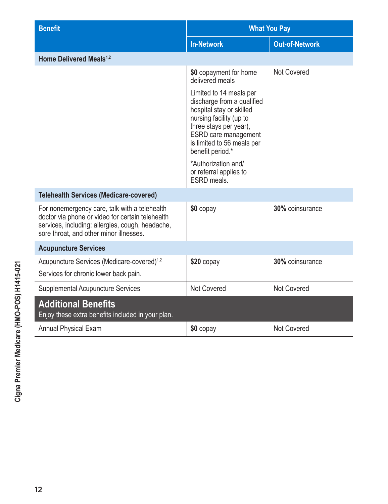| <b>Benefit</b>                                                                                                                                                                                   | <b>What You Pay</b>                                                                                                                                                                                                     |                       |  |
|--------------------------------------------------------------------------------------------------------------------------------------------------------------------------------------------------|-------------------------------------------------------------------------------------------------------------------------------------------------------------------------------------------------------------------------|-----------------------|--|
|                                                                                                                                                                                                  | <b>In-Network</b>                                                                                                                                                                                                       | <b>Out-of-Network</b> |  |
| Home Delivered Meals <sup>1,2</sup>                                                                                                                                                              |                                                                                                                                                                                                                         |                       |  |
|                                                                                                                                                                                                  | \$0 copayment for home<br>delivered meals                                                                                                                                                                               | Not Covered           |  |
|                                                                                                                                                                                                  | Limited to 14 meals per<br>discharge from a qualified<br>hospital stay or skilled<br>nursing facility (up to<br>three stays per year),<br><b>ESRD</b> care management<br>is limited to 56 meals per<br>benefit period.* |                       |  |
|                                                                                                                                                                                                  | *Authorization and/<br>or referral applies to<br>ESRD meals.                                                                                                                                                            |                       |  |
| <b>Telehealth Services (Medicare-covered)</b>                                                                                                                                                    |                                                                                                                                                                                                                         |                       |  |
| For nonemergency care, talk with a telehealth<br>doctor via phone or video for certain telehealth<br>services, including: allergies, cough, headache,<br>sore throat, and other minor illnesses. | \$0 copay                                                                                                                                                                                                               | 30% coinsurance       |  |
| <b>Acupuncture Services</b>                                                                                                                                                                      |                                                                                                                                                                                                                         |                       |  |
| Acupuncture Services (Medicare-covered) <sup>1,2</sup>                                                                                                                                           | \$20 copay                                                                                                                                                                                                              | 30% coinsurance       |  |
| Services for chronic lower back pain.                                                                                                                                                            |                                                                                                                                                                                                                         |                       |  |
| <b>Supplemental Acupuncture Services</b>                                                                                                                                                         | Not Covered                                                                                                                                                                                                             | Not Covered           |  |
| <b>Additional Benefits</b><br>Enjoy these extra benefits included in your plan.                                                                                                                  |                                                                                                                                                                                                                         |                       |  |
| <b>Annual Physical Exam</b>                                                                                                                                                                      | \$0 copay                                                                                                                                                                                                               | Not Covered           |  |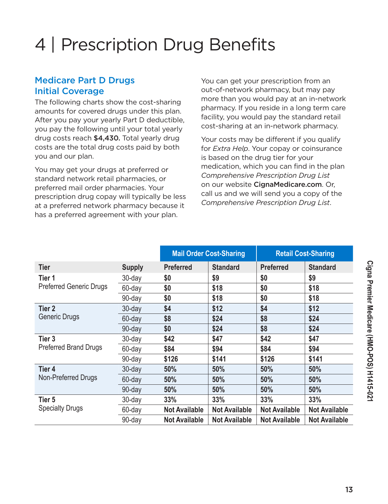# 4 | Prescription Drug Benefits

#### Medicare Part D Drugs Initial Coverage

The following charts show the cost-sharing amounts for covered drugs under this plan. After you pay your yearly Part D deductible, you pay the following until your total yearly drug costs reach \$4,430. Total yearly drug costs are the total drug costs paid by both you and our plan.

You may get your drugs at preferred or standard network retail pharmacies, or preferred mail order pharmacies. Your prescription drug copay will typically be less at a preferred network pharmacy because it has a preferred agreement with your plan.

You can get your prescription from an out-of-network pharmacy, but may pay more than you would pay at an in-network pharmacy. If you reside in a long term care facility, you would pay the standard retail cost-sharing at an in-network pharmacy.

Your costs may be different if you qualify for *Extra Help*. Your copay or coinsurance is based on the drug tier for your medication, which you can find in the plan *Comprehensive Prescription Drug List* on our website [CignaMedicare.com](www.cignamedicare.com). Or, call us and we will send you a copy of the *Comprehensive Prescription Drug List*.

|                                |               | <b>Mail Order Cost-Sharing</b> |                      |                      | <b>Retail Cost-Sharing</b> |
|--------------------------------|---------------|--------------------------------|----------------------|----------------------|----------------------------|
| Tier                           | <b>Supply</b> | <b>Preferred</b>               | <b>Standard</b>      | <b>Preferred</b>     | <b>Standard</b>            |
| Tier 1                         | $30$ -day     | \$0                            | \$9                  | \$0                  | \$9                        |
| <b>Preferred Generic Drugs</b> | 60-day        | \$0                            | \$18                 | \$0                  | \$18                       |
|                                | 90-day        | \$0                            | \$18                 | \$0                  | \$18                       |
| Tier 2                         | 30-day        | \$4                            | \$12                 | \$4                  | \$12                       |
| Generic Drugs                  | 60-day        | \$8                            | \$24                 | \$8                  | \$24                       |
|                                | 90-day        | \$0                            | \$24                 | \$8                  | \$24                       |
| Tier <sub>3</sub>              | 30-day        | \$42                           | \$47                 | \$42                 | \$47                       |
| <b>Preferred Brand Drugs</b>   | 60-day        | \$84                           | \$94                 | \$84                 | \$94                       |
|                                | 90-day        | \$126                          | \$141                | \$126                | \$141                      |
| Tier 4                         | $30$ -day     | 50%                            | 50%                  | 50%                  | 50%                        |
| Non-Preferred Drugs            | 60-day        | 50%                            | 50%                  | 50%                  | 50%                        |
|                                | 90-day        | 50%                            | 50%                  | 50%                  | 50%                        |
| Tier 5                         | 30-day        | 33%                            | 33%                  | 33%                  | 33%                        |
| <b>Specialty Drugs</b>         | 60-day        | <b>Not Available</b>           | <b>Not Available</b> | <b>Not Available</b> | <b>Not Available</b>       |
|                                | 90-day        | <b>Not Available</b>           | <b>Not Available</b> | <b>Not Available</b> | <b>Not Available</b>       |